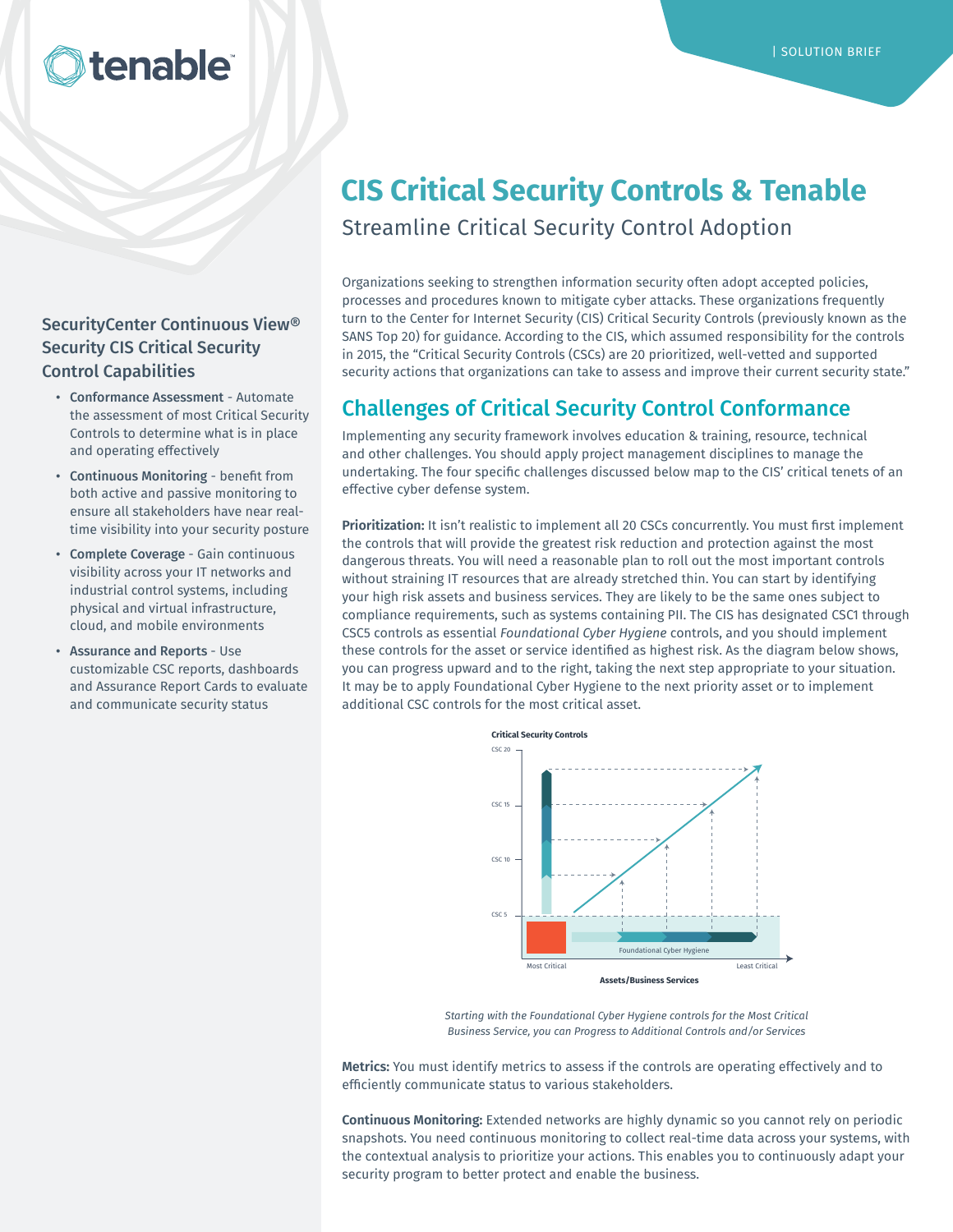# tenable

### SecurityCenter Continuous View® Security CIS Critical Security Control Capabilities

- Conformance Assessment Automate the assessment of most Critical Security Controls to determine what is in place and operating effectively
- Continuous Monitoring benefit from both active and passive monitoring to ensure all stakeholders have near realtime visibility into your security posture
- Complete Coverage Gain continuous visibility across your IT networks and industrial control systems, including physical and virtual infrastructure, cloud, and mobile environments
- Assurance and Reports Use customizable CSC reports, dashboards and Assurance Report Cards to evaluate and communicate security status

# **CIS Critical Security Controls & Tenable**

Streamline Critical Security Control Adoption

Organizations seeking to strengthen information security often adopt accepted policies, processes and procedures known to mitigate cyber attacks. These organizations frequently turn to the Center for Internet Security (CIS) Critical Security Controls (previously known as the SANS Top 20) for guidance. According to the CIS, which assumed responsibility for the controls in 2015, the "Critical Security Controls (CSCs) are 20 prioritized, well-vetted and supported security actions that organizations can take to assess and improve their current security state."

# Challenges of Critical Security Control Conformance

Implementing any security framework involves education & training, resource, technical and other challenges. You should apply project management disciplines to manage the undertaking. The four specific challenges discussed below map to the CIS' critical tenets of an effective cyber defense system.

**Prioritization:** It isn't realistic to implement all 20 CSCs concurrently. You must first implement the controls that will provide the greatest risk reduction and protection against the most dangerous threats. You will need a reasonable plan to roll out the most important controls without straining IT resources that are already stretched thin. You can start by identifying your high risk assets and business services. They are likely to be the same ones subject to compliance requirements, such as systems containing PII. The CIS has designated CSC1 through CSC5 controls as essential *Foundational Cyber Hygiene* controls, and you should implement these controls for the asset or service identified as highest risk. As the diagram below shows, you can progress upward and to the right, taking the next step appropriate to your situation. It may be to apply Foundational Cyber Hygiene to the next priority asset or to implement additional CSC controls for the most critical asset.



*Starting with the Foundational Cyber Hygiene controls for the Most Critical Business Service, you can Progress to Additional Controls and/or Services*

**Metrics:** You must identify metrics to assess if the controls are operating effectively and to efficiently communicate status to various stakeholders.

**Continuous Monitoring:** Extended networks are highly dynamic so you cannot rely on periodic snapshots. You need continuous monitoring to collect real-time data across your systems, with the contextual analysis to prioritize your actions. This enables you to continuously adapt your security program to better protect and enable the business.